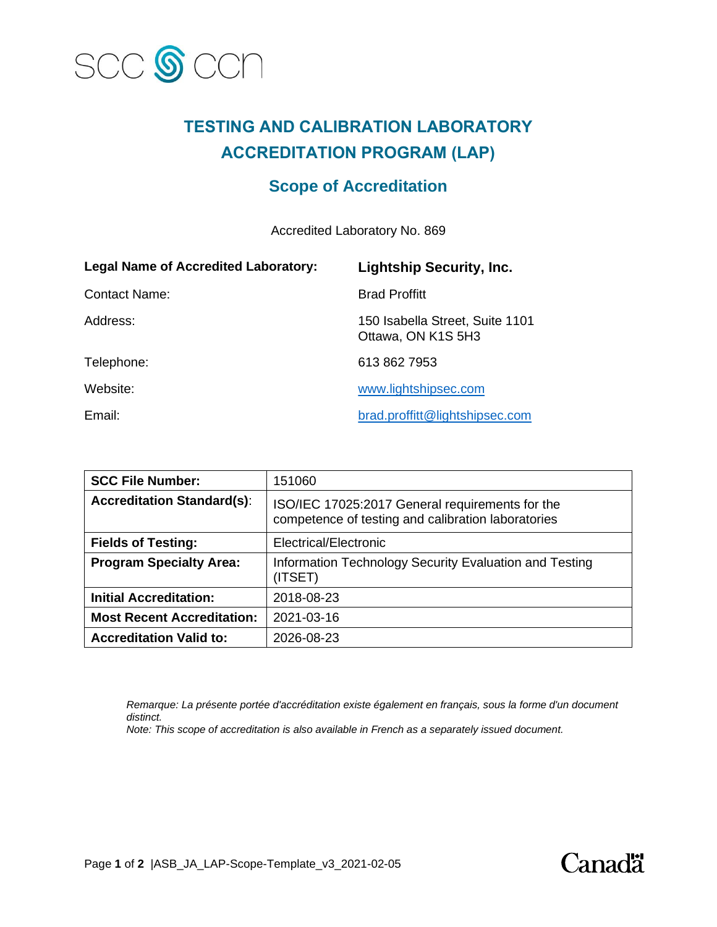

# **TESTING AND CALIBRATION LABORATORY ACCREDITATION PROGRAM (LAP)**

## **Scope of Accreditation**

Accredited Laboratory No. 869

| <b>Legal Name of Accredited Laboratory:</b> | <b>Lightship Security, Inc.</b>                       |
|---------------------------------------------|-------------------------------------------------------|
| <b>Contact Name:</b>                        | <b>Brad Proffitt</b>                                  |
| Address:                                    | 150 Isabella Street, Suite 1101<br>Ottawa, ON K1S 5H3 |
| Telephone:                                  | 613 862 7953                                          |
| Website:                                    | www.lightshipsec.com                                  |
| Email:                                      | brad.proffitt@lightshipsec.com                        |

| <b>SCC File Number:</b>           | 151060                                                                                                |
|-----------------------------------|-------------------------------------------------------------------------------------------------------|
| <b>Accreditation Standard(s):</b> | ISO/IEC 17025:2017 General requirements for the<br>competence of testing and calibration laboratories |
| <b>Fields of Testing:</b>         | Electrical/Electronic                                                                                 |
| <b>Program Specialty Area:</b>    | Information Technology Security Evaluation and Testing<br>(ITSET)                                     |
| <b>Initial Accreditation:</b>     | 2018-08-23                                                                                            |
| <b>Most Recent Accreditation:</b> | 2021-03-16                                                                                            |
| <b>Accreditation Valid to:</b>    | 2026-08-23                                                                                            |

*Remarque: La présente portée d'accréditation existe également en français, sous la forme d'un document distinct.*

*Note: This scope of accreditation is also available in French as a separately issued document.*